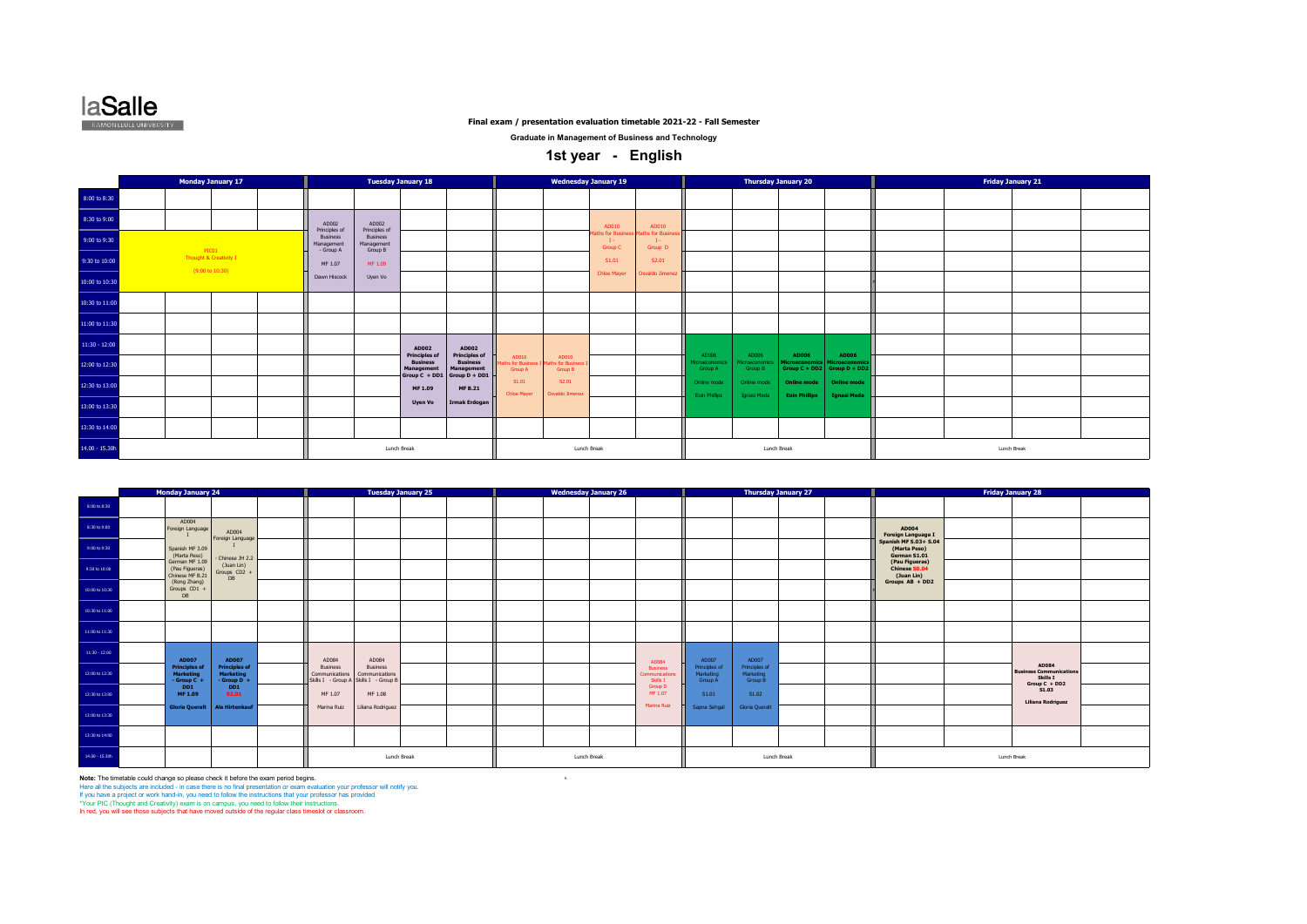

**Graduate in Management of Business and Technology**

## **1st year - English**

|                 | <b>Monday January 17</b>                                      |                                            |                                   | <b>Tuesday January 18</b>                                        |                               |                                      |                                      | <b>Wednesday January 19</b>     |                                           |                                     |                            | <b>Thursday January 20</b>                 |                                                   | <b>Friday January 21</b> |  |
|-----------------|---------------------------------------------------------------|--------------------------------------------|-----------------------------------|------------------------------------------------------------------|-------------------------------|--------------------------------------|--------------------------------------|---------------------------------|-------------------------------------------|-------------------------------------|----------------------------|--------------------------------------------|---------------------------------------------------|--------------------------|--|
| 8:00 to 8:30    |                                                               |                                            |                                   |                                                                  |                               |                                      |                                      |                                 |                                           |                                     |                            |                                            |                                                   |                          |  |
| 8:30 to 9:00    |                                                               | AD002<br>Principles of                     | AD002<br>Principles of            |                                                                  |                               |                                      |                                      | AD010                           | AD010                                     |                                     |                            |                                            |                                                   |                          |  |
| 9:00 to 9:30    |                                                               | <b>Business</b><br>Management<br>- Group A | Business<br>Management<br>Group B |                                                                  |                               |                                      |                                      | laths for Bus<br><b>Group C</b> | aths for Busin<br>$\mathbf{I}$<br>Group D |                                     |                            |                                            |                                                   |                          |  |
| 9:30 to 10:00   | PICO1<br>Thought & Creativity I<br>$(9:00 \text{ to } 10:30)$ | MF 1.07                                    | MF 1.09                           |                                                                  |                               |                                      |                                      | S1.01                           | S2.01                                     |                                     |                            |                                            |                                                   |                          |  |
| 10:00 to 10:30  |                                                               | Dawn Hiscock                               | Uyen Vo                           |                                                                  |                               |                                      |                                      | <b>Chloe Mayer</b>              | Osvaldo Jimenez                           |                                     |                            |                                            |                                                   |                          |  |
| 10:30 to 11:00  |                                                               |                                            |                                   |                                                                  |                               |                                      |                                      |                                 |                                           |                                     |                            |                                            |                                                   |                          |  |
| 11:00 to 11:30  |                                                               |                                            |                                   |                                                                  |                               |                                      |                                      |                                 |                                           |                                     |                            |                                            |                                                   |                          |  |
| $11:30 - 12:00$ |                                                               |                                            |                                   | AD002<br><b>Principles of</b>                                    | AD002<br><b>Principles of</b> |                                      |                                      |                                 |                                           | AD006                               | AD006                      | AD006                                      | <b>AD006</b>                                      |                          |  |
| 12:00 to 12:30  |                                                               |                                            |                                   | <b>Business</b><br>Management<br>Group $C + DD1$ Group $D + DD1$ | <b>Business</b><br>Management | AD010<br>ths for Business<br>Group A | AD010<br>aths for Busines<br>Group B |                                 |                                           | Microeconomics<br>Group A           | licroeconomics<br>Group B  | <b>Microeconomics</b>                      | Microeconomics<br>Group $C + DD2$ Group $D + DD2$ |                          |  |
| 12:30 to 13:00  |                                                               |                                            |                                   | MF 1.09                                                          | <b>MF B.21</b>                | S1.01<br>Chloe Mayer                 | S2.01<br>Osvaldo Jimenez             |                                 |                                           | Online mode<br><b>Eoin Phillips</b> | Online mode<br>Ignasi Meda | <b>Online mode</b><br><b>Eoin Phillips</b> | Online mode<br><b>Ignasi Meda</b>                 |                          |  |
| 13:00 to 13:30  |                                                               |                                            |                                   | <b>Uyen Vo</b>                                                   | <b>Irmak Erdogan</b>          |                                      |                                      |                                 |                                           |                                     |                            |                                            |                                                   |                          |  |
| 13:30 to 14:00  |                                                               |                                            |                                   |                                                                  |                               |                                      |                                      |                                 |                                           |                                     |                            |                                            |                                                   |                          |  |
| 14.00 - 15.30h  |                                                               |                                            | Lunch Break                       |                                                                  |                               |                                      |                                      | Lunch Break                     |                                           |                                     | Lunch Break                |                                            |                                                   | Lunch Break              |  |

|                 | <b>Monday January 24</b>                                |                                                             |                                                                            |                                   | <b>Tuesday January 25</b> |  | <b>Wednesday January 26</b> |                                              |                                       |                                       | <b>Thursday January 27</b> |                                                              |             | <b>Friday January 28</b>                                             |  |
|-----------------|---------------------------------------------------------|-------------------------------------------------------------|----------------------------------------------------------------------------|-----------------------------------|---------------------------|--|-----------------------------|----------------------------------------------|---------------------------------------|---------------------------------------|----------------------------|--------------------------------------------------------------|-------------|----------------------------------------------------------------------|--|
| 8:00 to 8:30    |                                                         |                                                             |                                                                            |                                   |                           |  |                             |                                              |                                       |                                       |                            |                                                              |             |                                                                      |  |
| 8:30 to 9:00    | AD004<br>Foreign Language                               | AD004                                                       |                                                                            |                                   |                           |  |                             |                                              |                                       |                                       |                            | AD004<br>Foreign Language I                                  |             |                                                                      |  |
| 9:00 to 9:30    | Spanish MF 3.09<br>(Marta Peso)                         | Foreign Language<br>- Chinese JH 2.2                        |                                                                            |                                   |                           |  |                             |                                              |                                       |                                       |                            | <b>Spanish MF S.03+ S.04</b><br>(Marta Peso)<br>German S1.01 |             |                                                                      |  |
| 9:30 to 10:00   | German MF 1.09<br>(Pau Figueras)<br>Chinese MF B.21     | (Juan Lin)<br>Groups CD2 +<br>DB                            |                                                                            |                                   |                           |  |                             |                                              |                                       |                                       |                            | (Pau Figueras)<br>Chinese S0.04<br>(Juan Lin)                |             |                                                                      |  |
| 10:00 to 10:30  | (Rong Zhang)<br>Groups CD1 +<br>DB                      |                                                             |                                                                            |                                   |                           |  |                             |                                              |                                       |                                       |                            | Groups AB + DD2                                              |             |                                                                      |  |
| 10:30 to 11:00  |                                                         |                                                             |                                                                            |                                   |                           |  |                             |                                              |                                       |                                       |                            |                                                              |             |                                                                      |  |
| 11:00 to 11:30  |                                                         |                                                             |                                                                            |                                   |                           |  |                             |                                              |                                       |                                       |                            |                                                              |             |                                                                      |  |
| $11:30 - 12:00$ | <b>AD007</b>                                            | <b>AD007</b>                                                | AD084                                                                      | AD084                             |                           |  |                             | AD084                                        | AD007                                 | AD007                                 |                            |                                                              |             |                                                                      |  |
| 12:00 to 12:30  | <b>Principles of</b><br><b>Marketing</b><br>- Group C + | <b>Principles of</b><br><b>Marketing</b><br>$-$ Group D $+$ | <b>Business</b><br>Communications<br>Skills I - Group A Skills I - Group E | <b>Business</b><br>Communications |                           |  |                             | <b>Business</b><br>Communication<br>Skills I | Principles of<br>Marketing<br>Group A | Principles of<br>Marketing<br>Group B |                            |                                                              |             | AD084<br><b>Business Communications</b><br>Skills I<br>Group C + DD2 |  |
| 12:30 to 13:00  | DD <sub>1</sub><br>MF 1.09                              | DD1<br><b>S2.01</b>                                         | MF 1.07                                                                    | MF 1.08                           |                           |  |                             | Group D<br>MF 1.07<br>Marina Ruiz            | S1.01                                 | S1.02                                 |                            |                                                              |             | S1.03<br>Liliana Rodriguez                                           |  |
| 13:00 to 13:30  | <b>Gloria Queralt</b>                                   | <b>Ale Hirtenkauf</b>                                       | Marina Ruiz                                                                | Liliana Rodriguez                 |                           |  |                             |                                              | Sapna Sehgal                          | <b>Gloria Queralt</b>                 |                            |                                                              |             |                                                                      |  |
| 13:30 to 14:00  |                                                         |                                                             |                                                                            |                                   |                           |  |                             |                                              |                                       |                                       |                            |                                                              |             |                                                                      |  |
| 14.00 - 15.30h  |                                                         |                                                             |                                                                            | Lunch Break                       |                           |  | Lunch Break                 |                                              |                                       |                                       | Lunch Break                |                                                              | Lunch Break |                                                                      |  |

**Note:** The timetable could change so please check it before the exam period begins.<br>Here all the subjects are included - in case there is no final presentation or exam evaluation your professor will notify you.<br>If you hav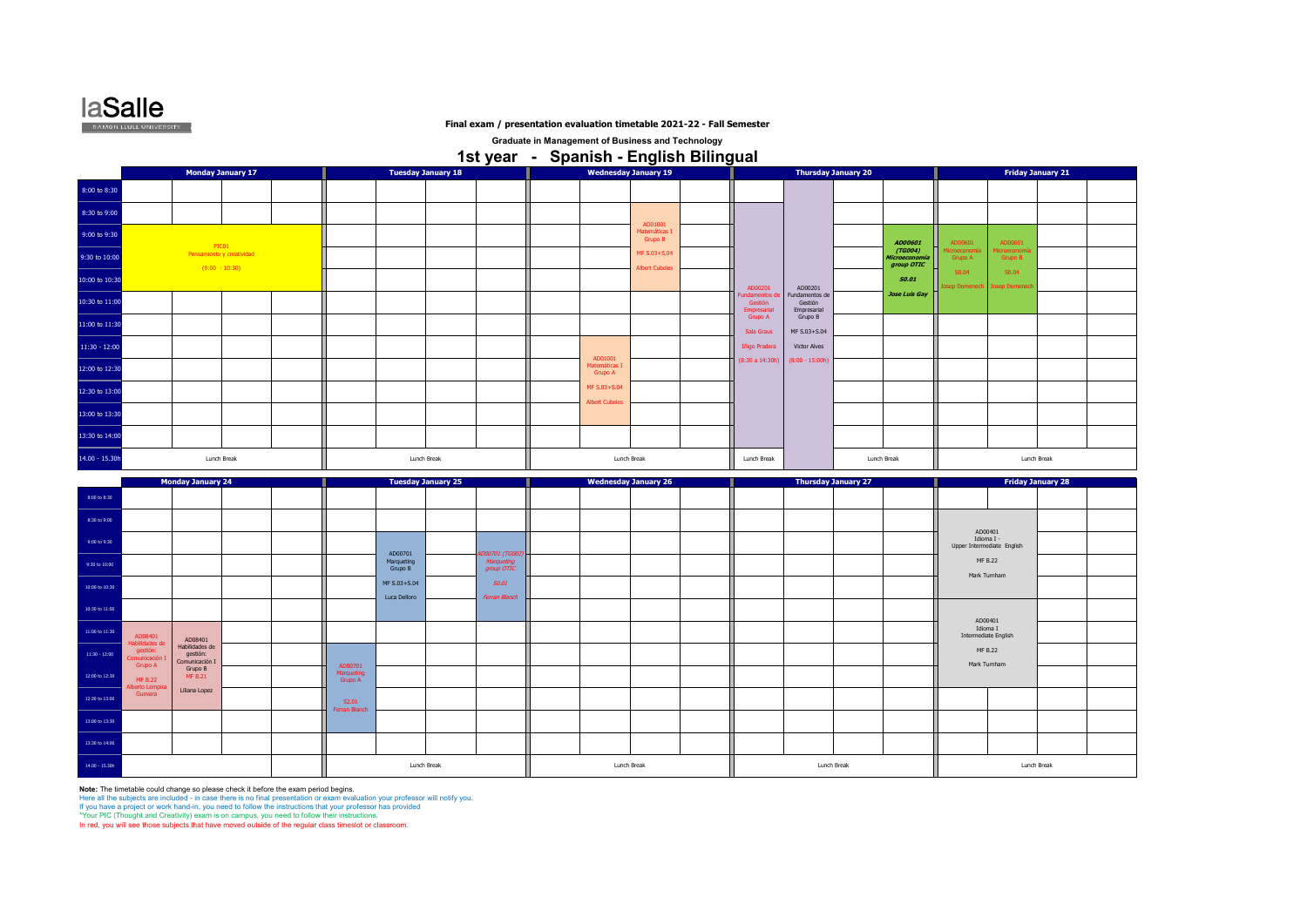

**Graduate in Management of Business and Technology 1st year - Spanish - English Bilingual** 

|                                                                            |                                             | <b>Monday January 17</b>           |                                  |                                  | <b>Tuesday January 18</b> |                                          |                                     | <b>Wednesday January 19</b>         |                                          |                                          | <b>Thursday January 20</b> |                                        |                            | <b>Friday January 21</b>                    |                          |  |
|----------------------------------------------------------------------------|---------------------------------------------|------------------------------------|----------------------------------|----------------------------------|---------------------------|------------------------------------------|-------------------------------------|-------------------------------------|------------------------------------------|------------------------------------------|----------------------------|----------------------------------------|----------------------------|---------------------------------------------|--------------------------|--|
| 8:00 to 8:30                                                               |                                             |                                    |                                  |                                  |                           |                                          |                                     |                                     |                                          |                                          |                            |                                        |                            |                                             |                          |  |
| 8:30 to 9:00                                                               |                                             |                                    |                                  |                                  |                           |                                          |                                     |                                     |                                          |                                          |                            |                                        |                            |                                             |                          |  |
| 9:00 to 9:30                                                               |                                             |                                    |                                  |                                  |                           |                                          |                                     | AD01001<br>Matemáticas I<br>Grupo B |                                          |                                          |                            | AD00601                                | AD00601                    | AD00601                                     |                          |  |
| 9:30 to 10:00                                                              |                                             | PIC01<br>Pensamiento y creatividad |                                  |                                  |                           |                                          |                                     | MF S.03+S.04                        |                                          |                                          |                            | (TG004)<br>Microeconomía<br>group OTIC | icroeconomía<br>Grupo A    | Microeconom<br>Grupo B                      |                          |  |
| 10:00 to 10:30                                                             |                                             | $(9:00 - 10:30)$                   |                                  |                                  |                           |                                          |                                     | <b>Albert Cubeles</b>               | AD00201                                  | AD00201                                  |                            | <b>S0.01</b>                           | S0.04<br>sep Domened       | S0.04<br><b>losep Domen</b>                 |                          |  |
| 10:30 to 11:00                                                             |                                             |                                    |                                  |                                  |                           |                                          |                                     |                                     | Fundamentos de<br>Gestión<br>Empresarial | Fundamentos de<br>Gestión<br>Empresarial |                            | <b>Jose Luis Gay</b>                   |                            |                                             |                          |  |
| 11:00 to 11:30                                                             |                                             |                                    |                                  |                                  |                           |                                          |                                     |                                     | Grupo A<br>Sala Graus                    | Grupo B<br>MF S.03+S.04                  |                            |                                        |                            |                                             |                          |  |
| $11:30 - 12:00$                                                            |                                             |                                    |                                  |                                  |                           |                                          |                                     |                                     | Iñigo Pradera                            | Victor Alves                             |                            |                                        |                            |                                             |                          |  |
| 12:00 to 12:30                                                             |                                             |                                    |                                  |                                  |                           |                                          | AD01001<br>Matemáticas I<br>Grupo A |                                     | (8:30a 14:30h)                           | $(8:00 - 15:00h)$                        |                            |                                        |                            |                                             |                          |  |
| 12:30 to 13:00                                                             |                                             |                                    |                                  |                                  |                           |                                          | MF S.03+S.04                        |                                     |                                          |                                          |                            |                                        |                            |                                             |                          |  |
| 13:00 to 13:30                                                             |                                             |                                    |                                  |                                  |                           |                                          | <b>Albert Cubeles</b>               |                                     |                                          |                                          |                            |                                        |                            |                                             |                          |  |
| 13:30 to 14:00                                                             |                                             |                                    |                                  |                                  |                           |                                          |                                     |                                     |                                          |                                          |                            |                                        |                            |                                             |                          |  |
| $14.00 - 15.30h$                                                           |                                             | Lunch Break                        |                                  |                                  | Lunch Break               |                                          | Lunch Break                         |                                     | Lunch Break                              |                                          |                            | Lunch Break                            |                            | Lunch Break                                 |                          |  |
|                                                                            |                                             |                                    |                                  |                                  |                           |                                          |                                     |                                     |                                          |                                          |                            |                                        |                            |                                             |                          |  |
|                                                                            |                                             |                                    |                                  |                                  |                           |                                          |                                     |                                     |                                          |                                          |                            |                                        |                            |                                             |                          |  |
| $8:00$ to $8:30$                                                           | <b>Monday January 24</b>                    |                                    |                                  |                                  | <b>Tuesday January 25</b> |                                          |                                     | <b>Wednesday January 26</b>         |                                          |                                          | <b>Thursday January 27</b> |                                        |                            |                                             | <b>Friday January 28</b> |  |
| 8:30 to 9:00                                                               |                                             |                                    |                                  |                                  |                           |                                          |                                     |                                     |                                          |                                          |                            |                                        |                            |                                             |                          |  |
| 9:00 to 9:30                                                               |                                             |                                    |                                  |                                  |                           |                                          |                                     |                                     |                                          |                                          |                            |                                        | Upper Intermediate English | AD00401<br>Idioma I -                       |                          |  |
| 9:30 to 10:00                                                              |                                             |                                    |                                  | AD00701<br>Marqueting<br>Grupo B |                           | D00701 (TG00<br>Marqueting<br>group OTIC |                                     |                                     |                                          |                                          |                            |                                        |                            | MF B.22                                     |                          |  |
| 10:00 to 10:30                                                             |                                             |                                    |                                  | MF S.03+S.04                     |                           | S0.01                                    |                                     |                                     |                                          |                                          |                            |                                        |                            | Mark Turnham                                |                          |  |
| 10:30 to 11:00                                                             |                                             |                                    |                                  | Luca Delloro                     |                           | Ferran Blanch                            |                                     |                                     |                                          |                                          |                            |                                        |                            |                                             |                          |  |
| $11\mathord{:}00$ to $11\mathord{:}30$                                     |                                             |                                    |                                  |                                  |                           |                                          |                                     |                                     |                                          |                                          |                            |                                        |                            | AD00401<br>Idioma I<br>Intermediate English |                          |  |
| AD08401<br>Habilidades de<br>gestión:<br>:omunicación I<br>$11:30 - 12:00$ | AD08401<br>Habilidades de<br>gestión:       |                                    |                                  |                                  |                           |                                          |                                     |                                     |                                          |                                          |                            |                                        |                            | <b>MF B.22</b>                              |                          |  |
| Grupo A<br>12:00 to 12:30<br>MF B.22                                       | Comunicación I<br>Grupo B<br><b>MF B.21</b> |                                    | AD00701<br>Marqueting<br>Grupo A |                                  |                           |                                          |                                     |                                     |                                          |                                          |                            |                                        |                            | Mark Turnham                                |                          |  |
| <b>Iberto Lempira</b><br>Guevara<br>12:30 to 13:00                         | Liliana Lopez                               |                                    | S2.01                            |                                  |                           |                                          |                                     |                                     |                                          |                                          |                            |                                        |                            |                                             |                          |  |
| 13:00 to 13:30                                                             |                                             |                                    | Ferran Blanch                    |                                  |                           |                                          |                                     |                                     |                                          |                                          |                            |                                        |                            |                                             |                          |  |
| 13:30 to 14:00                                                             |                                             |                                    |                                  |                                  |                           |                                          |                                     |                                     |                                          |                                          |                            |                                        |                            |                                             |                          |  |

**Note: The timetable could change so please check it before the exam period begins.**<br>Here all the subjects are included - in case there is no final presentation or exam evaluation your professor will notify you.<br>If you hav

\*Your PIC (Thought and Creativity) exam is on campus, you need to follow their instructions. In red, you will see those subjects that have moved outside of the regular class timeslot or classroom.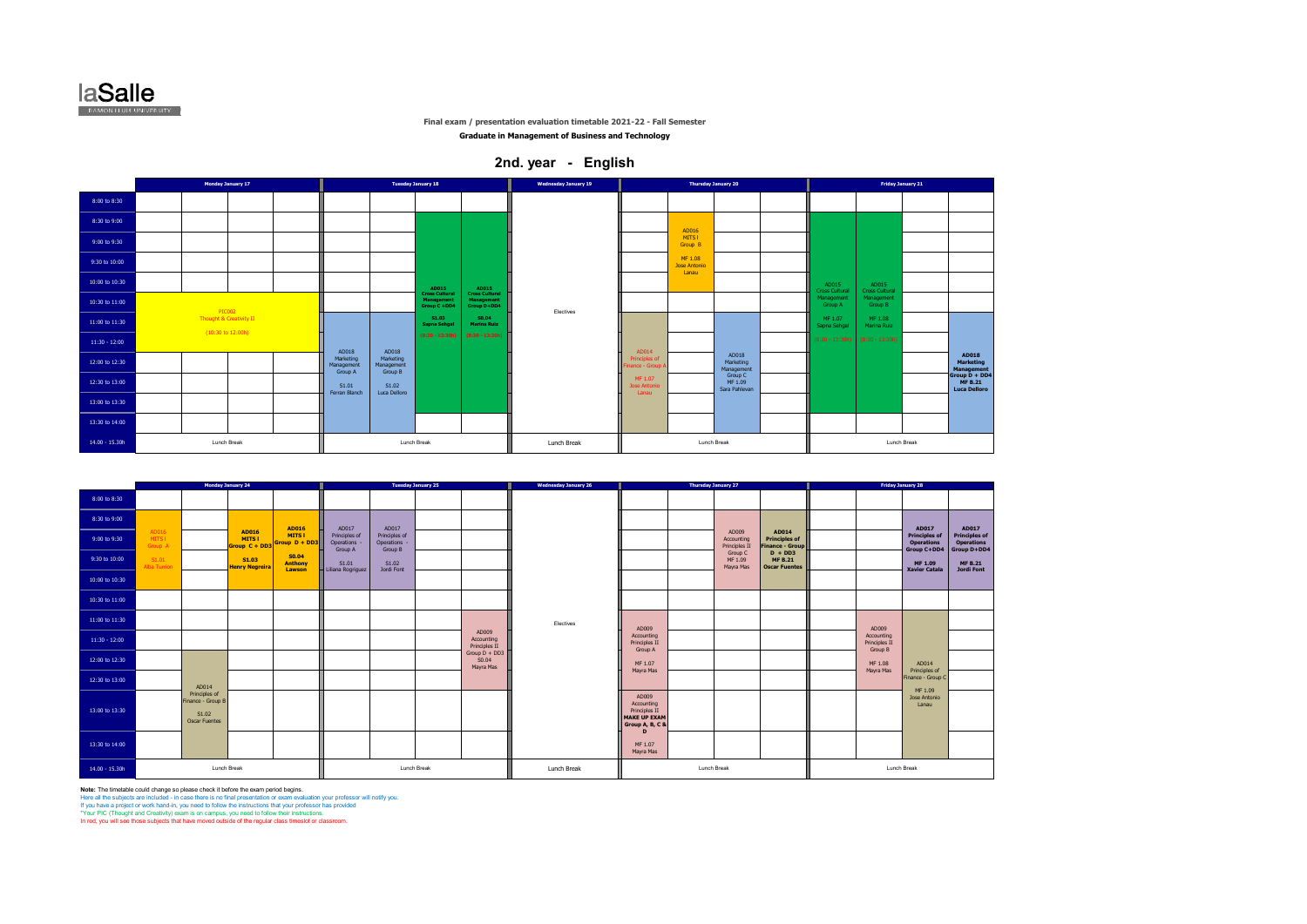

**Graduate in Management of Business and Technology**

## **2nd. year - English**

|                  | Monday January 17                            |                                    | <b>Tuesday January 18</b>          |                                                     |                                                    | <b>Wednesday January 19</b> |                                          |                                         | <b>Thursday January 20</b>          |                                     |                                | Friday January 21 |                                                        |
|------------------|----------------------------------------------|------------------------------------|------------------------------------|-----------------------------------------------------|----------------------------------------------------|-----------------------------|------------------------------------------|-----------------------------------------|-------------------------------------|-------------------------------------|--------------------------------|-------------------|--------------------------------------------------------|
| 8:00 to 8:30     |                                              |                                    |                                    |                                                     |                                                    |                             |                                          |                                         |                                     |                                     |                                |                   |                                                        |
| 8:30 to 9:00     |                                              |                                    |                                    |                                                     |                                                    |                             |                                          | AD016                                   |                                     |                                     |                                |                   |                                                        |
| 9:00 to 9:30     |                                              |                                    |                                    |                                                     |                                                    |                             |                                          | MITS I<br>Group B                       |                                     |                                     |                                |                   |                                                        |
| 9:30 to 10:00    |                                              |                                    |                                    |                                                     |                                                    |                             |                                          | MF 1.08<br><b>Jose Antonio</b><br>Lanau |                                     |                                     |                                |                   |                                                        |
| 10:00 to 10:30   |                                              |                                    |                                    | AD015                                               | <b>AD015</b>                                       |                             |                                          |                                         |                                     | AD015<br><b>Cross Cultural</b>      | AD015<br><b>Cross Cultural</b> |                   |                                                        |
| 10:30 to 11:00   | PIC002                                       |                                    |                                    | <b>Cross Cultural</b><br>Management<br>Group C +DD4 | <b>Cross Cultural</b><br>Management<br>Group D+DD4 | Electives                   |                                          |                                         |                                     | Management<br>Group A               | Management<br>Group B          |                   |                                                        |
| 11:00 to 11:30   | Thought & Creativity II<br>(10:30 to 12:00h) |                                    |                                    | S1.03<br>Sapna Sehgal                               | S0.04<br><b>Marina Ruiz</b>                        |                             |                                          |                                         |                                     | MF 1.07<br>Sapna Sehgal             | MF 1.08<br>Marina Ruiz         |                   |                                                        |
| $11:30 - 12:00$  |                                              | AD018                              | AD018                              | $(8:30 - 13:30h)$                                   | $(8:30 - 13:30h)$                                  |                             | AD014                                    |                                         |                                     | $(8:30 - 13:30h)$ $(8:30 - 13:30h)$ |                                |                   |                                                        |
| 12:00 to 12:30   |                                              | Marketing<br>Management<br>Group A | Marketing<br>Management<br>Group B |                                                     |                                                    |                             | <b>Principles of</b><br>inance - Group / |                                         | AD018<br>Marketing<br>Management    |                                     |                                |                   | AD018<br>Marketing<br>Management                       |
| 12:30 to 13:00   |                                              | S1.01<br>Ferran Blanch             | S1.02<br>Luca Delloro              |                                                     |                                                    |                             | MF 1.07<br>Jose Antonio<br>Lanau         |                                         | Group C<br>MF 1.09<br>Sara Pahlevan |                                     |                                |                   | Group D + DD4<br><b>MF B.21</b><br><b>Luca Delloro</b> |
| 13:00 to 13:30   |                                              |                                    |                                    |                                                     |                                                    |                             |                                          |                                         |                                     |                                     |                                |                   |                                                        |
| 13:30 to 14:00   |                                              |                                    |                                    |                                                     |                                                    |                             |                                          |                                         |                                     |                                     |                                |                   |                                                        |
| $14.00 - 15.30h$ | <b>Lunch Break</b>                           |                                    | Lunch Break                        |                                                     |                                                    | Lunch Break                 |                                          |                                         | Lunch Break                         |                                     | Lunch Break                    |                   |                                                        |

|                 |                            |                                                              | Monday January 24                             |                                               |                                                 | <b>Tuesday January 25</b>                     |                                       | <b>Wednesday January 26</b> |                                                                              |             | Thursday January 27                  |                                                         |                                        | <b>Friday January 28</b>                                 |                                                    |
|-----------------|----------------------------|--------------------------------------------------------------|-----------------------------------------------|-----------------------------------------------|-------------------------------------------------|-----------------------------------------------|---------------------------------------|-----------------------------|------------------------------------------------------------------------------|-------------|--------------------------------------|---------------------------------------------------------|----------------------------------------|----------------------------------------------------------|----------------------------------------------------|
| 8:00 to 8:30    |                            |                                                              |                                               |                                               |                                                 |                                               |                                       |                             |                                                                              |             |                                      |                                                         |                                        |                                                          |                                                    |
| 8:30 to 9:00    |                            |                                                              |                                               |                                               |                                                 | AD017                                         |                                       |                             |                                                                              |             |                                      |                                                         |                                        | AD017                                                    |                                                    |
| 9:00 to 9:30    | AD016<br>MITS I<br>Group A |                                                              | <b>AD016</b><br><b>MITS1</b><br>Group C + DD3 | <b>AD016</b><br><b>MITS1</b><br>Group D + DD3 | AD017<br>Principles of<br>Operations<br>Group A | Principles of<br><b>Operations</b><br>Group B |                                       |                             |                                                                              |             | AD009<br>Accounting<br>Principles II | AD014<br><b>Principles of</b><br><b>Finance - Group</b> |                                        | <b>Principles of</b><br><b>Operations</b><br>Group C+DD4 | AD017<br><b>Principles of</b><br><b>Operations</b> |
| 9:30 to 10:00   | S1.01<br>Alba Turrion      |                                                              | S1.03<br><b>Henry Negreira</b>                | S0.04<br><b>Anthony</b>                       | S1.01                                           | S1.02                                         |                                       |                             |                                                                              |             | Group C<br>MF 1.09<br>Mayra Mas      | $D + DD3$<br><b>MF B.21</b><br><b>Oscar Fuentes</b>     |                                        | MF 1.09                                                  | Group D+DD4<br><b>MF B.21</b>                      |
| 10:00 to 10:30  |                            |                                                              |                                               | Lawson                                        | Liliana Rogriguez                               | Jordi Font                                    |                                       |                             |                                                                              |             |                                      |                                                         |                                        | <b>Xavier Catala</b>                                     | Jordi Font                                         |
| 10:30 to 11:00  |                            |                                                              |                                               |                                               |                                                 |                                               |                                       |                             |                                                                              |             |                                      |                                                         |                                        |                                                          |                                                    |
| 11:00 to 11:30  |                            |                                                              |                                               |                                               |                                                 |                                               |                                       | Electives                   | AD009                                                                        |             |                                      |                                                         | AD009                                  |                                                          |                                                    |
| $11:30 - 12:00$ |                            |                                                              |                                               |                                               |                                                 |                                               | AD009<br>Accounting<br>Principles II  |                             | Accounting<br>Principles II<br>Group A                                       |             |                                      |                                                         | Accounting<br>Principles II<br>Group B |                                                          |                                                    |
| 12:00 to 12:30  |                            |                                                              |                                               |                                               |                                                 |                                               | Group $D + DD3$<br>S0.04<br>Mayra Mas |                             | MF 1.07<br>Mayra Mas                                                         |             |                                      |                                                         | MF 1.08<br>Mayra Mas                   | AD014<br>Principles of                                   |                                                    |
| 12:30 to 13:00  |                            | AD014                                                        |                                               |                                               |                                                 |                                               |                                       |                             |                                                                              |             |                                      |                                                         |                                        | Finance - Group C                                        |                                                    |
| 13:00 to 13:30  |                            | Principles of<br>Finance - Group B<br>S1.02<br>Oscar Fuentes |                                               |                                               |                                                 |                                               |                                       |                             | AD009<br>Accounting<br>Principles II<br>MAKE UP EXAM<br>Group A, B, C &<br>D |             |                                      |                                                         |                                        | MF 1.09<br>Jose Antonio<br>Lanau                         |                                                    |
| 13:30 to 14:00  |                            |                                                              |                                               |                                               |                                                 |                                               |                                       |                             | MF 1.07<br>Mayra Mas                                                         |             |                                      |                                                         |                                        |                                                          |                                                    |
| 14.00 - 15.30h  |                            | <b>Lunch Break</b>                                           |                                               |                                               |                                                 | Lunch Break                                   |                                       | Lunch Break                 |                                                                              | Lunch Break |                                      |                                                         | Lunch Break                            |                                                          |                                                    |

**Note:** The timetable could change so please check it before the exam period begins.<br>Here all the subjects are included - in case there is no final presentation or exam evaluation your professor will notify you.<br>If you hav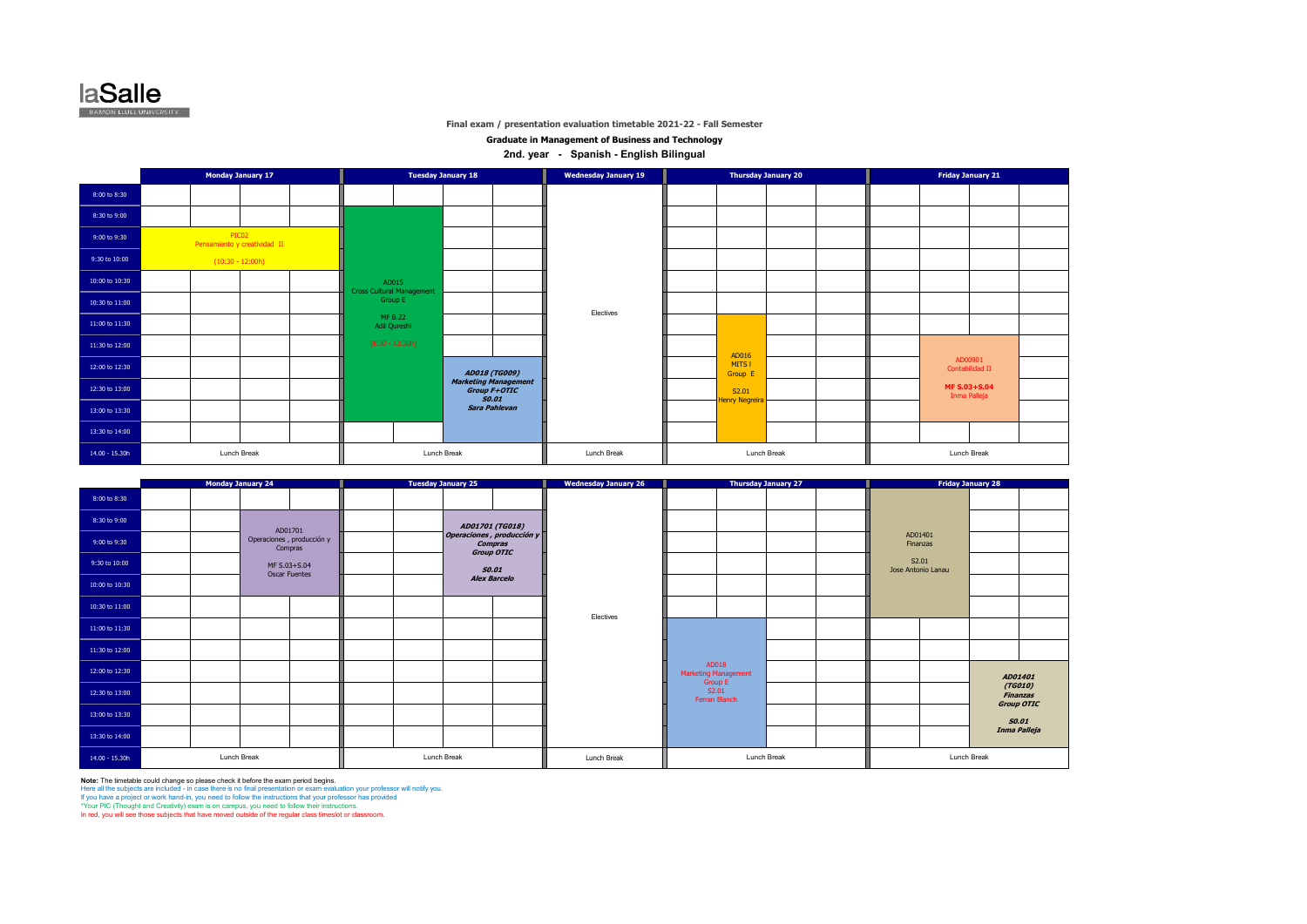

**Graduate in Management of Business and Technology**

**2nd. year - Spanish - English Bilingual** 

|                |                    | <b>Monday January 17</b>     |                         |                                           | <b>Tuesday January 18</b>                                   | <b>Wednesday January 19</b> |                         | <b>Thursday January 20</b> |  | <b>Friday January 21</b>     |  |
|----------------|--------------------|------------------------------|-------------------------|-------------------------------------------|-------------------------------------------------------------|-----------------------------|-------------------------|----------------------------|--|------------------------------|--|
| 8:00 to 8:30   |                    |                              |                         |                                           |                                                             |                             |                         |                            |  |                              |  |
| 8:30 to 9:00   |                    |                              |                         |                                           |                                                             |                             |                         |                            |  |                              |  |
| 9:00 to 9:30   | PIC02              | Pensamiento y creatividad II |                         |                                           |                                                             |                             |                         |                            |  |                              |  |
| 9:30 to 10:00  | $(10:30 - 12:00h)$ |                              |                         |                                           |                                                             |                             |                         |                            |  |                              |  |
| 10:00 to 10:30 |                    |                              |                         | AD015<br><b>Cross Cultural Management</b> |                                                             |                             |                         |                            |  |                              |  |
| 10:30 to 11:00 |                    |                              |                         | Group E                                   |                                                             | Electives                   |                         |                            |  |                              |  |
| 11:00 to 11:30 |                    |                              | MF B.22<br>Adil Qureshi |                                           |                                                             |                             |                         |                            |  |                              |  |
| 11:30 to 12:00 |                    |                              | $(8:30 - 13:30h)$       |                                           |                                                             |                             | AD016                   |                            |  |                              |  |
| 12:00 to 12:30 |                    |                              |                         |                                           | <b>AD018 (TG009)</b>                                        |                             | MITS I<br>Group E       |                            |  | AD00901<br>Contabilidad II   |  |
| 12:30 to 13:00 |                    |                              |                         |                                           | <b>Marketing Management</b><br>Group F+OTIC<br><b>SO.01</b> |                             | S2.01<br>Henry Negreira |                            |  | MF S.03+S.04<br>Inma Palleja |  |
| 13:00 to 13:30 |                    |                              |                         |                                           | Sara Pahlevan                                               |                             |                         |                            |  |                              |  |
| 13:30 to 14:00 |                    |                              |                         |                                           |                                                             |                             |                         |                            |  |                              |  |
| 14.00 - 15.30h | Lunch Break        |                              |                         |                                           | Lunch Break                                                 | Lunch Break                 | Lunch Break             |                            |  | Lunch Break                  |  |

|                  |  | <b>Monday January 24</b> |                                      | <b>Tuesday January 25</b>                          | <b>Wednesday January 26</b> |               |                                          | <b>Thursday January 27</b> |                             | <b>Friday January 28</b> |              |                                          |
|------------------|--|--------------------------|--------------------------------------|----------------------------------------------------|-----------------------------|---------------|------------------------------------------|----------------------------|-----------------------------|--------------------------|--------------|------------------------------------------|
| 8:00 to 8:30     |  |                          |                                      |                                                    |                             |               |                                          |                            |                             |                          |              |                                          |
| 8:30 to 9:00     |  |                          | AD01701                              | AD01701 (TG018)                                    |                             |               |                                          |                            |                             |                          |              |                                          |
| 9:00 to 9:30     |  |                          | Operaciones, producción y<br>Compras | Operaciones, producción y<br>Compras<br>Group OTIC |                             |               |                                          |                            | AD01401<br>Finanzas         |                          |              |                                          |
| 9:30 to 10:00    |  |                          | MF S.03+S.04<br><b>Oscar Fuentes</b> | <b>SO.01</b>                                       |                             |               |                                          |                            | S2.01<br>Jose Antonio Lanau |                          |              |                                          |
| 10:00 to 10:30   |  |                          |                                      | <b>Alex Barcelo</b>                                |                             |               |                                          |                            |                             |                          |              |                                          |
| 10:30 to 11:00   |  |                          |                                      |                                                    | Electives                   |               |                                          |                            |                             |                          |              |                                          |
| 11:00 to 11:30   |  |                          |                                      |                                                    |                             |               |                                          |                            |                             |                          |              |                                          |
| 11:30 to 12:00   |  |                          |                                      |                                                    |                             |               |                                          |                            |                             |                          |              |                                          |
| 12:00 to 12:30   |  |                          |                                      |                                                    |                             |               | AD018<br>Marketing Management<br>Group E |                            |                             |                          |              | AD01401                                  |
| 12:30 to 13:00   |  |                          |                                      |                                                    |                             | Ferran Blanch | S2.01                                    |                            |                             |                          |              | (TG010)<br><b>Finanzas</b><br>Group OTIC |
| 13:00 to 13:30   |  |                          |                                      |                                                    |                             |               |                                          |                            |                             |                          | <b>SO.01</b> |                                          |
| 13:30 to 14:00   |  |                          |                                      |                                                    |                             |               |                                          |                            |                             |                          |              | Inma Palleja                             |
| $14.00 - 15.30h$ |  | Lunch Break              |                                      | Lunch Break                                        | Lunch Break                 |               | Lunch Break                              |                            |                             | Lunch Break              |              |                                          |

**Note: The timetable could change so please check it before the exam period begins.**<br>Here all the subjects are included - in case there is no final presentation or exam evaluation your professor will notify you.<br>If you hav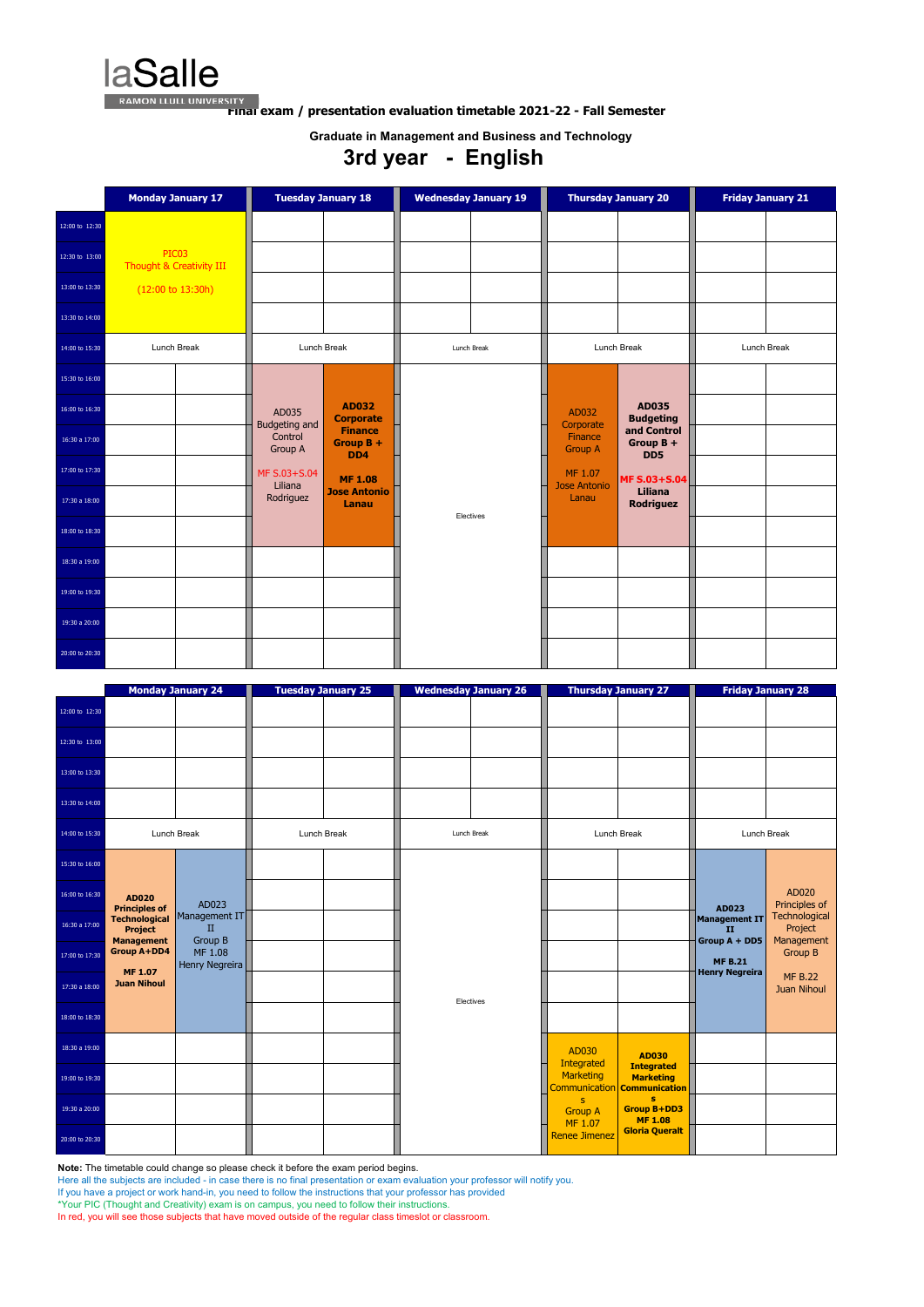**laSalle** 

**FINAL EXAMON LLULL UNIVERSITY**<br>**FINAL exam / presentation evaluation timetable 2021-22 - Fall Semester** 

**Note:** The timetable could change so please check it before the exam period begins.

Here all the subjects are included - in case there is no final presentation or exam evaluation your professor will notify you.

If you have a project or work hand-in, you need to follow the instructions that your professor has provided

\*Your PIC (Thought and Creativity) exam is on campus, you need to follow their instructions.

In red, you will see those subjects that have moved outside of the regular class timeslot or classroom.

|                | <b>Monday January 17</b>                     | <b>Tuesday January 18</b>                                                   | <b>Wednesday January 19</b> | <b>Thursday January 20</b>                                                | <b>Friday January 21</b> |
|----------------|----------------------------------------------|-----------------------------------------------------------------------------|-----------------------------|---------------------------------------------------------------------------|--------------------------|
| 12:00 to 12:30 |                                              |                                                                             |                             |                                                                           |                          |
| 12:30 to 13:00 | PIC03<br><b>Thought &amp; Creativity III</b> |                                                                             |                             |                                                                           |                          |
| 13:00 to 13:30 | $(12:00 \text{ to } 13:30h)$                 |                                                                             |                             |                                                                           |                          |
| 13:30 to 14:00 |                                              |                                                                             |                             |                                                                           |                          |
| 14:00 to 15:30 | Lunch Break                                  | Lunch Break                                                                 | Lunch Break                 | Lunch Break                                                               | Lunch Break              |
| 15:30 to 16:00 |                                              |                                                                             |                             |                                                                           |                          |
| 16:00 to 16:30 |                                              | <b>AD032</b><br>AD035<br><b>Corporate</b>                                   |                             | <b>AD035</b><br>AD032<br><b>Budgeting</b>                                 |                          |
| 16:30 a 17:00  |                                              | Budgeting and<br><b>Finance</b><br>Control<br>Group $B +$<br>Group A<br>DD4 |                             | Corporate<br>and Control<br>Finance<br>Group B +<br><b>Group A</b><br>DD5 |                          |
| 17:00 to 17:30 |                                              | MF S.03+S.04<br><b>MF 1.08</b><br>Liliana                                   |                             | MF 1.07<br><b>MF S.03+S.04</b><br><b>Jose Antonio</b>                     |                          |
| 17:30 a 18:00  |                                              | <b>Jose Antonio</b><br>Rodriguez<br>Lanau                                   | Electives                   | Liliana<br>Lanau<br><b>Rodriguez</b>                                      |                          |
| 18:00 to 18:30 |                                              |                                                                             |                             |                                                                           |                          |
| 18:30 a 19:00  |                                              |                                                                             |                             |                                                                           |                          |
| 19:00 to 19:30 |                                              |                                                                             |                             |                                                                           |                          |
| 19:30 a 20:00  |                                              |                                                                             |                             |                                                                           |                          |
| 20:00 to 20:30 |                                              |                                                                             |                             |                                                                           |                          |

|                |                                                             | <b>Monday January 24</b>             |             | <b>Tuesday January 25</b> |           | <b>Wednesday January 26</b> |                                 | <b>Thursday January 27</b>                                                  |                                             | <b>Friday January 28</b>               |
|----------------|-------------------------------------------------------------|--------------------------------------|-------------|---------------------------|-----------|-----------------------------|---------------------------------|-----------------------------------------------------------------------------|---------------------------------------------|----------------------------------------|
| 12:00 to 12:30 |                                                             |                                      |             |                           |           |                             |                                 |                                                                             |                                             |                                        |
| 12:30 to 13:00 |                                                             |                                      |             |                           |           |                             |                                 |                                                                             |                                             |                                        |
| 13:00 to 13:30 |                                                             |                                      |             |                           |           |                             |                                 |                                                                             |                                             |                                        |
| 13:30 to 14:00 |                                                             |                                      |             |                           |           |                             |                                 |                                                                             |                                             |                                        |
| 14:00 to 15:30 |                                                             | Lunch Break                          | Lunch Break |                           |           | Lunch Break                 |                                 | Lunch Break                                                                 |                                             | Lunch Break                            |
| 15:30 to 16:00 |                                                             |                                      |             |                           |           |                             |                                 |                                                                             |                                             |                                        |
| 16:00 to 16:30 | <b>AD020</b><br><b>Principles of</b>                        | AD023                                |             |                           |           |                             |                                 |                                                                             | AD023                                       | AD020<br>Principles of                 |
| 16:30 a 17:00  | <b>Technological</b><br><b>Project</b><br><b>Management</b> | Management IT<br>$\mathbf{H}$        |             |                           |           |                             |                                 |                                                                             | <b>Management IT</b><br>II<br>Group A + DD5 | Technological<br>Project<br>Management |
| 17:00 to 17:30 | <b>Group A+DD4</b>                                          | Group B<br>MF 1.08<br>Henry Negreira |             |                           |           |                             |                                 |                                                                             | <b>MF B.21</b>                              | <b>Group B</b>                         |
| 17:30 a 18:00  | <b>MF 1.07</b><br><b>Juan Nihoul</b>                        |                                      |             |                           | Electives |                             |                                 |                                                                             | <b>Henry Negreira</b>                       | <b>MF B.22</b><br><b>Juan Nihoul</b>   |
| 18:00 to 18:30 |                                                             |                                      |             |                           |           |                             |                                 |                                                                             |                                             |                                        |
| 18:30 a 19:00  |                                                             |                                      |             |                           |           |                             | AD030<br>Integrated             | <b>AD030</b>                                                                |                                             |                                        |
| 19:00 to 19:30 |                                                             |                                      |             |                           |           |                             | Marketing                       | <b>Integrated</b><br><b>Marketing</b><br>Communication <b>Communication</b> |                                             |                                        |
| 19:30 a 20:00  |                                                             |                                      |             |                           |           |                             | s.<br><b>Group A</b><br>MF 1.07 | s<br><b>Group B+DD3</b><br><b>MF 1.08</b>                                   |                                             |                                        |
| 20:00 to 20:30 |                                                             |                                      |             |                           |           |                             | <b>Renee Jimenez</b>            | <b>Gloria Queralt</b>                                                       |                                             |                                        |

**Graduate in Management and Business and Technology**

# **3rd year - English**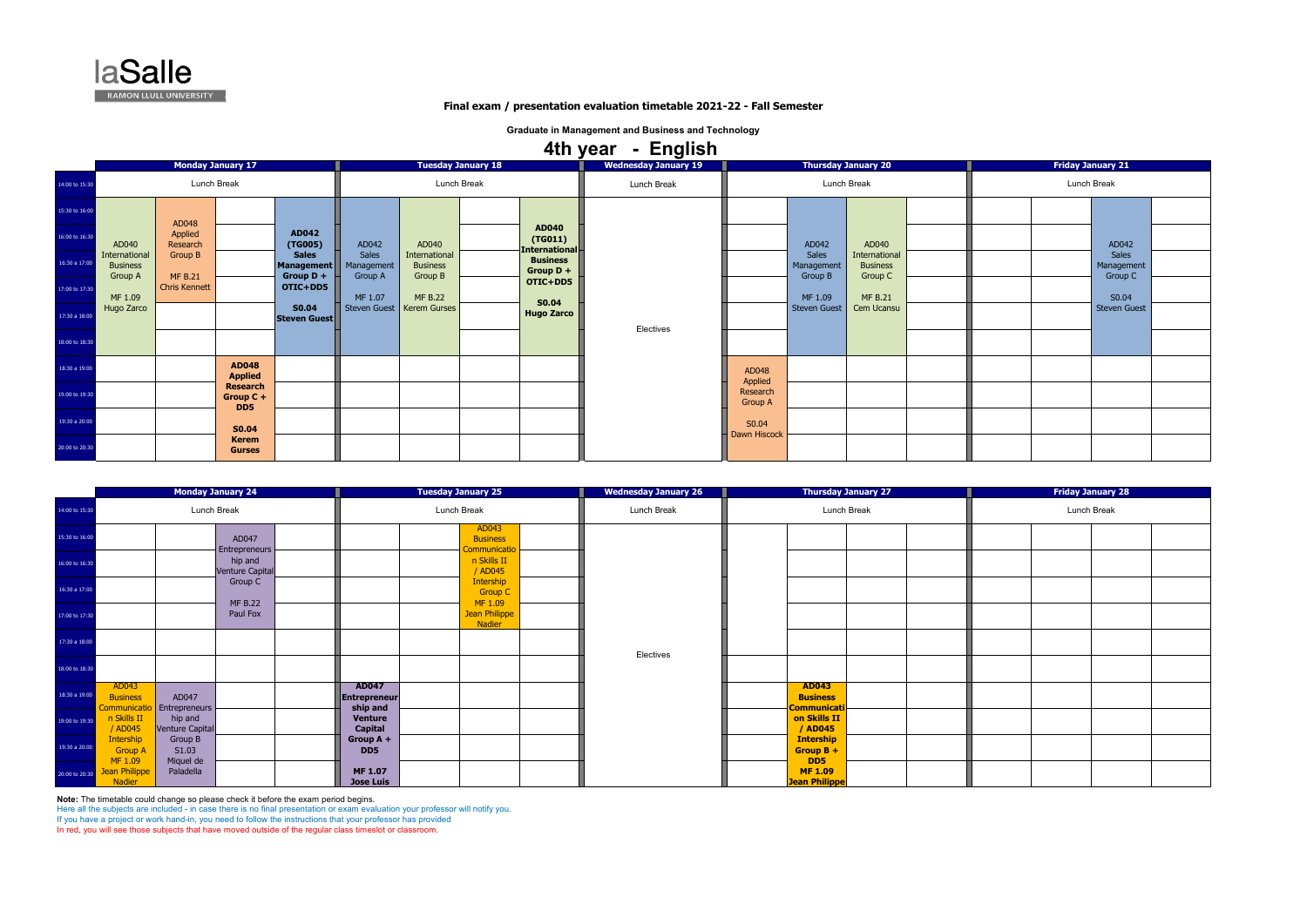**Note:** The timetable could change so please check it before the exam period begins.

Here all the subjects are included - in case there is no final presentation or exam evaluation your professor will notify you.

If you have a project or work hand-in, you need to follow the instructions that your professor has provided In red, you will see those subjects that have moved outside of the regular class timeslot or classroom.

|                                                                                |  | <b>Friday January 21</b> |  |
|--------------------------------------------------------------------------------|--|--------------------------|--|
| Lunch Break                                                                    |  |                          |  |
| AD042<br><b>Sales</b><br>Management<br>Group C<br>S0.04<br><b>Steven Guest</b> |  |                          |  |

|                |                                                                         | <b>Monday January 24</b>   | <b>Tuesday January 25</b>                |                                          | <b>Wednesday January 26</b> | <b>Thursday January 27</b>                            |  | <b>Friday January 28</b> |
|----------------|-------------------------------------------------------------------------|----------------------------|------------------------------------------|------------------------------------------|-----------------------------|-------------------------------------------------------|--|--------------------------|
| 14:00 to 15:30 |                                                                         | Lunch Break                | Lunch Break                              |                                          | Lunch Break                 | Lunch Break                                           |  | Lunch Break              |
| 15:30 to 16:00 |                                                                         | AD047<br>Entrepreneurs     |                                          | AD043<br><b>Business</b><br>iommunicatio |                             |                                                       |  |                          |
| 16:00 to 16:30 |                                                                         | hip and<br>Venture Capital |                                          | n Skills II<br>/ AD045                   |                             |                                                       |  |                          |
| 16:30 a 17:00  |                                                                         | Group C<br><b>MF B.22</b>  |                                          | Intership<br><b>Group C</b><br>MF 1.09   |                             |                                                       |  |                          |
| 17:00 to 17:30 |                                                                         | Paul Fox                   |                                          | Jean Philippe<br>Nadier                  |                             |                                                       |  |                          |
| 17:30 a 18:00  |                                                                         |                            |                                          |                                          | Electives                   |                                                       |  |                          |
| 18:00 to 18:30 |                                                                         |                            |                                          |                                          |                             |                                                       |  |                          |
| 18:30 a 19:00  | AD043<br>AD047<br><b>Business</b><br>Entrepreneurs<br>Communicatio      |                            | <b>AD047</b><br>Entrepreneur<br>ship and |                                          |                             | <b>AD043</b><br><b>Business</b><br><b>Communicati</b> |  |                          |
| 19:00 to 19:30 | n Skills II<br>hip and<br>/ AD045<br><b>Venture Capital</b>             |                            | <b>Venture</b><br><b>Capital</b>         |                                          |                             | on Skills II<br>/ AD045                               |  |                          |
| 19:30 a 20:00  | Intership<br>Group B<br>S1.03<br><b>Group A</b><br>MF 1.09<br>Miquel de |                            | Group $A +$<br>DD5                       |                                          |                             | <b>Intership</b><br>Group $B +$<br>DD5                |  |                          |
| 20:00 to 20:30 | Jean Philippe<br>Paladella<br>Nadier                                    |                            | <b>MF 1.07</b><br><b>Jose Luis</b>       |                                          |                             | <b>MF 1.09</b><br><b>Jean Philippe</b>                |  |                          |

|                |                                             |                              |                                       |                              |                                |                                             |                           |                                                  | 4th year - English          |                       |                     |                                  |  |                          |
|----------------|---------------------------------------------|------------------------------|---------------------------------------|------------------------------|--------------------------------|---------------------------------------------|---------------------------|--------------------------------------------------|-----------------------------|-----------------------|---------------------|----------------------------------|--|--------------------------|
|                |                                             |                              | <b>Monday January 17</b>              |                              |                                |                                             | <b>Tuesday January 18</b> |                                                  | <b>Wednesday January 19</b> |                       |                     | <b>Thursday January 20</b>       |  | <b>Friday January 21</b> |
| 14:00 to 15:30 |                                             |                              | Lunch Break                           |                              |                                |                                             | Lunch Break               |                                                  | Lunch Break                 |                       | Lunch Break         |                                  |  | Lunch Break              |
| 15:30 to 16:00 |                                             |                              |                                       |                              |                                |                                             |                           |                                                  |                             |                       |                     |                                  |  |                          |
| 16:00 to 16:30 | AD040                                       | AD048<br>Applied<br>Research |                                       | AD042<br>(TG005)             | AD042                          | AD040                                       |                           | <b>AD040</b><br>(TG011)                          |                             |                       | AD042               | AD040                            |  | AD <sub>04</sub>         |
| 16:30 a 17:00  | International<br><b>Business</b><br>Group A | Group B<br><b>MF B.21</b>    |                                       | <b>Sales</b><br>Management   | Sales<br>Management<br>Group A | International<br><b>Business</b><br>Group B |                           | International-<br><b>Business</b><br>Group $D +$ |                             |                       | Sales<br>Management | International<br><b>Business</b> |  | Sale:<br>Manager         |
| 17:00 to 17:30 | MF 1.09                                     | <b>Chris Kennett</b>         |                                       | Group D +<br>OTIC+DD5        | MF 1.07                        | <b>MF B.22</b>                              |                           | OTIC+DD5<br><b>S0.04</b>                         |                             |                       | Group B<br>MF 1.09  | Group C<br><b>MF B.21</b>        |  | Group<br>SO.0            |
| 17:30 a 18:00  | Hugo Zarco                                  |                              |                                       | <b>S0.04</b><br>Steven Guest |                                | Steven Guest   Kerem Gurses                 |                           | <b>Hugo Zarco</b>                                | Electives                   |                       | <b>Steven Guest</b> | Cem Ucansu                       |  | Steven 0                 |
| 18:00 to 18:30 |                                             |                              |                                       |                              |                                |                                             |                           |                                                  |                             |                       |                     |                                  |  |                          |
| 18:30 a 19:00  |                                             |                              | <b>AD048</b><br><b>Applied</b>        |                              |                                |                                             |                           |                                                  |                             | AD048<br>Applied      |                     |                                  |  |                          |
| 19:00 to 19:30 |                                             |                              | <b>Research</b><br>Group $C +$<br>DD5 |                              |                                |                                             |                           |                                                  |                             | Research<br>Group A   |                     |                                  |  |                          |
| 19:30 a 20:00  |                                             |                              | <b>S0.04</b>                          |                              |                                |                                             |                           |                                                  |                             | S0.04<br>Dawn Hiscock |                     |                                  |  |                          |
| 20:00 to 20:30 |                                             |                              | <b>Kerem</b><br><b>Gurses</b>         |                              |                                |                                             |                           |                                                  |                             |                       |                     |                                  |  |                          |



# **Final exam / presentation evaluation timetable 2021-22 - Fall Semester**

**Graduate in Management and Business and Technology**